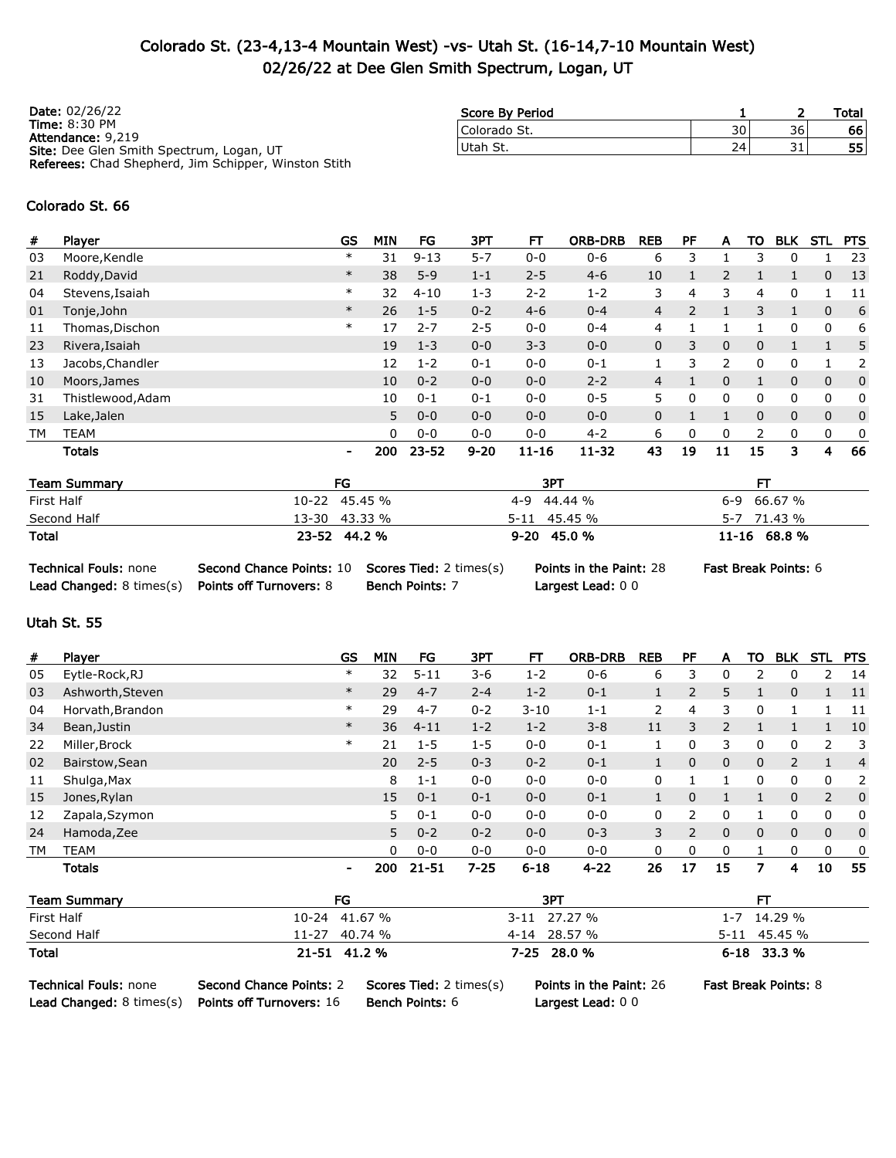## Colorado St. (23-4,13-4 Mountain West) -vs- Utah St. (16-14,7-10 Mountain West) 02/26/22 at Dee Glen Smith Spectrum, Logan, UT

| <b>Date: 02/26/22</b>                                       | Score By Period |                 |    | Total |
|-------------------------------------------------------------|-----------------|-----------------|----|-------|
| <b>Time: 8:30 PM</b><br>Attendance: 9,219                   | Colorado St.    | 30              | 36 | 66    |
| <b>Site:</b> Dee Glen Smith Spectrum, Logan, UT             | Utah St.        | 24 <sub>1</sub> | 31 | 55    |
| <b>Referees:</b> Chad Shepherd, Jim Schipper, Winston Stith |                 |                 |    |       |

#### Colorado St. 66

| #  | Player            | <b>GS</b> | <b>MIN</b> | FG       | ЗРТ      | FТ        | <b>ORB-DRB</b> | <b>REB</b> | PF            | A  | то       | <b>BLK</b>   | STL          | <b>PTS</b>   |
|----|-------------------|-----------|------------|----------|----------|-----------|----------------|------------|---------------|----|----------|--------------|--------------|--------------|
| 03 | Moore, Kendle     | $\ast$    | 31         | $9 - 13$ | $5 - 7$  | $0 - 0$   | $0 - 6$        | 6          | 3             |    | З        | 0            |              | 23           |
| 21 | Roddy, David      | $\ast$    | 38         | $5 - 9$  | $1 - 1$  | $2 - 5$   | $4 - 6$        | 10         |               | 2  |          |              | $\mathbf{0}$ | -13          |
| 04 | Stevens, Isaiah   | $\ast$    | 32         | $4 - 10$ | $1 - 3$  | $2 - 2$   | $1 - 2$        | 3          | 4             | 3  | 4        | 0            |              | -11          |
| 01 | Tonje, John       | $\ast$    | 26         | $1 - 5$  | $0 - 2$  | $4-6$     | $0 - 4$        | 4          | $\mathcal{P}$ |    | 3        |              | $\mathbf 0$  | 6            |
| 11 | Thomas, Dischon   | $\ast$    | 17         | $2 - 7$  | $2 - 5$  | $0 - 0$   | $0 - 4$        | 4          |               |    |          | 0            | 0            | 6            |
| 23 | Rivera, Isaiah    |           | 19         | $1 - 3$  | $0 - 0$  | $3 - 3$   | $0 - 0$        | 0          | 3             | 0  | $\Omega$ |              |              | 5            |
| 13 | Jacobs, Chandler  |           | 12         | $1 - 2$  | $0 - 1$  | $0 - 0$   | $0 - 1$        |            | 3             | 2  | 0        | 0            |              | 2            |
| 10 | Moors, James      |           | 10         | $0 - 2$  | $0 - 0$  | $0 - 0$   | $2 - 2$        | 4          |               | 0  |          | 0            | $\mathbf 0$  | $\mathbf{0}$ |
| 31 | Thistlewood, Adam |           | 10         | $0 - 1$  | $0 - 1$  | $0 - 0$   | $0 - 5$        | 5.         |               | 0  | 0        | 0            | 0            | 0            |
| 15 | Lake, Jalen       |           | 5          | $0 - 0$  | $0 - 0$  | $0 - 0$   | $0 - 0$        | 0          |               |    | $\Omega$ | $\mathbf{0}$ | $\mathbf 0$  | $\mathbf{0}$ |
| TМ | TEAM              |           | 0          | $0 - 0$  | $0 - 0$  | $0 - 0$   | $4 - 2$        | 6          | 0             | 0  | 2        | 0            | 0            | 0            |
|    | <b>Totals</b>     | ٠         | 200        | 23-52    | $9 - 20$ | $11 - 16$ | $11 - 32$      | 43         | 19            | 11 | 15       | 3            | 4            | 66           |

| <b>Team Summary</b> | FG            | 3PT             |               |
|---------------------|---------------|-----------------|---------------|
| First Half          | 10-22 45.45 % | 4-9 44.44 %     | $6-9$ 66.67 % |
| Second Half         | 13-30 43.33 % | 5-11 45.45 %    | 5-7 71.43 %   |
| <b>Total</b>        | 23-52 44.2 %  | $9 - 20$ 45.0 % | 11-16 68.8 %  |

| <b>Technical Fouls: none</b>    | <b>Second Chance Points: 10 Scores Tied: 2 times(s)</b> |                        |
|---------------------------------|---------------------------------------------------------|------------------------|
| <b>Lead Changed: 8 times(s)</b> | <b>Points off Turnovers: 8</b>                          | <b>Bench Points: 7</b> |

Largest Lead: 0 0

Technical Founds: none Point: 28 Fast Break Points: 6

### Utah St. 55

| #  | Player           | GS                       | <b>MIN</b> | FG        | ЗРТ      | FТ       | <b>ORB-DRB</b> | <b>REB</b> | РF             | A              | ΤО           | <b>BLK</b>   | <b>STL</b>   | <b>PTS</b> |
|----|------------------|--------------------------|------------|-----------|----------|----------|----------------|------------|----------------|----------------|--------------|--------------|--------------|------------|
| 05 | Eytle-Rock, RJ   | $\ast$                   | 32         | $5 - 11$  | $3 - 6$  | $1 - 2$  | $0 - 6$        | 6          | 3              | 0              |              |              | 2            | 14         |
| 03 | Ashworth, Steven | $\ast$                   | 29         | $4 - 7$   | $2 - 4$  | $1 - 2$  | $0 - 1$        |            | $\overline{2}$ | 5              |              | $\mathbf{0}$ |              | -11        |
| 04 | Horvath, Brandon | $\ast$                   | 29         | $4 - 7$   | $0 - 2$  | $3 - 10$ | $1 - 1$        | 2          | 4              | 3              | 0            | 1            |              | -11        |
| 34 | Bean, Justin     | $\ast$                   | 36         | $4 - 11$  | $1 - 2$  | $1 - 2$  | $3 - 8$        | 11         | 3              | $\overline{2}$ |              | 1            |              | 10         |
| 22 | Miller, Brock    | $\ast$                   | 21         | $1 - 5$   | $1 - 5$  | $0 - 0$  | $0 - 1$        |            | 0              | 3              | 0            | 0            | 2            | 3          |
| 02 | Bairstow, Sean   |                          | 20         | $2 - 5$   | $0 - 3$  | $0 - 2$  | $0 - 1$        |            | $\mathbf{0}$   | $\mathbf{0}$   | $\mathbf 0$  | 2            |              | 4          |
| 11 | Shulga, Max      |                          | 8          | $1 - 1$   | $0 - 0$  | $0 - 0$  | $0 - 0$        | 0          |                |                | $\mathbf{0}$ | $\Omega$     | $\mathbf{0}$ | 2          |
| 15 | Jones, Rylan     |                          | 15         | $0 - 1$   | $0 - 1$  | $0 - 0$  | $0 - 1$        |            | $\Omega$       |                |              | $\Omega$     | 2            | $\Omega$   |
| 12 | Zapala, Szymon   |                          | 5          | $0 - 1$   | $0 - 0$  | $0 - 0$  | $0 - 0$        | 0          | フ              | 0              |              | 0            | $\mathbf{0}$ | 0          |
| 24 | Hamoda, Zee      |                          | 5          | $0 - 2$   | $0 - 2$  | $0 - 0$  | $0 - 3$        | 3          | $\overline{2}$ | $\Omega$       | $\Omega$     | $\mathbf{0}$ | $\Omega$     | $\Omega$   |
| TM | <b>TEAM</b>      |                          | 0          | $0 - 0$   | $0 - 0$  | $0 - 0$  | $0 - 0$        | 0          | $\Omega$       | 0              |              | $\Omega$     | $\mathbf{0}$ | 0          |
|    | <b>Totals</b>    | $\overline{\phantom{a}}$ | 200        | $21 - 51$ | $7 - 25$ | $6 - 18$ | $4 - 22$       | 26         | 17             | 15             | 7            | 4            | 10           | 55         |

| <b>Team Summary</b>                                                  | FG                                                                |                                                          | 3PT                                         | FТ                          |
|----------------------------------------------------------------------|-------------------------------------------------------------------|----------------------------------------------------------|---------------------------------------------|-----------------------------|
| First Half                                                           | 10-24 41.67 %                                                     |                                                          | 3-11 27.27 %                                | $1 - 7$ 14.29 %             |
| Second Half                                                          | 11-27 40.74 %                                                     |                                                          | 4-14 28.57 %                                | 5-11 45.45 %                |
| Total                                                                | 21-51 41.2 %                                                      |                                                          | 7-25 28.0 %                                 | 6-18 33.3 %                 |
| <b>Technical Fouls: none</b><br><b>Lead Changed:</b> $8 \times s(s)$ | <b>Second Chance Points: 2</b><br><b>Points off Turnovers: 16</b> | <b>Scores Tied: 2 times(s)</b><br><b>Bench Points: 6</b> | Points in the Paint: 26<br>Largest Lead: 00 | <b>Fast Break Points: 8</b> |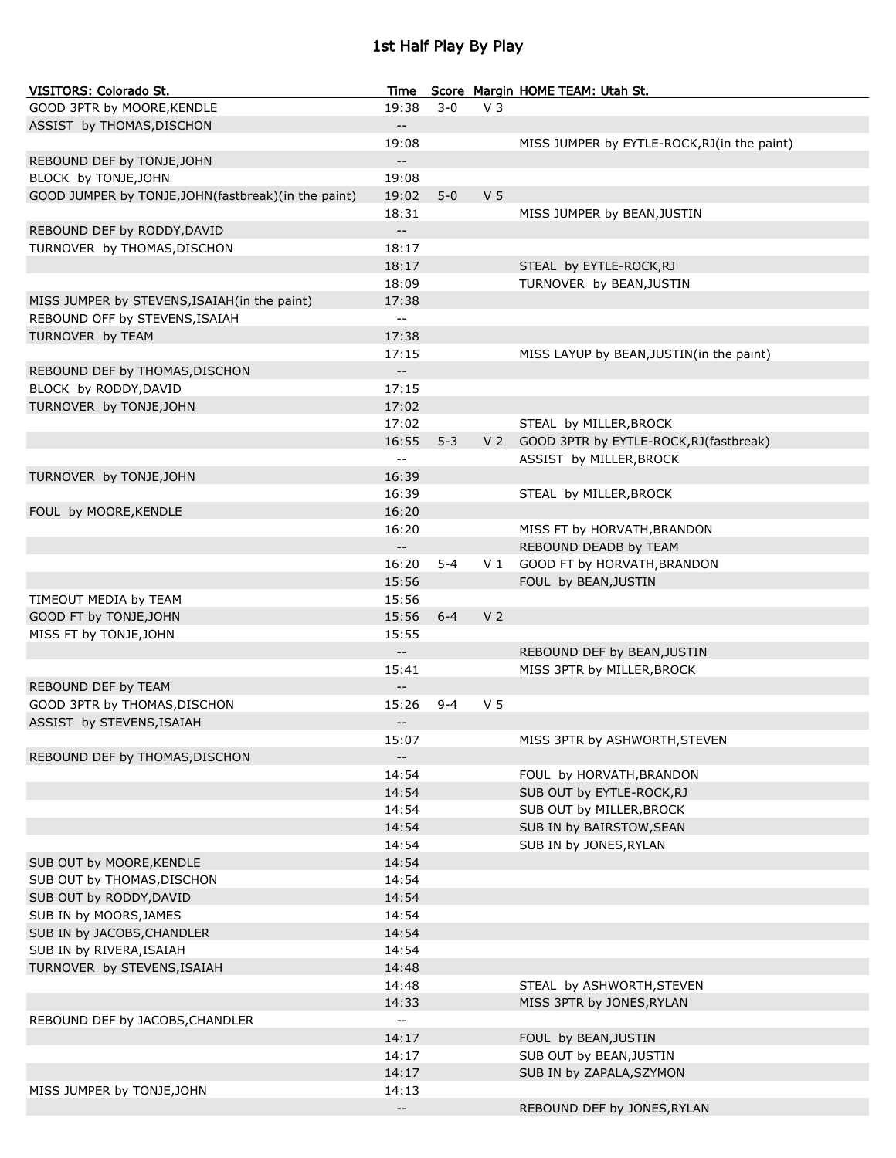# 1st Half Play By Play

| VISITORS: Colorado St.                              | Time                                          |         |                | Score Margin HOME TEAM: Utah St.             |
|-----------------------------------------------------|-----------------------------------------------|---------|----------------|----------------------------------------------|
| GOOD 3PTR by MOORE, KENDLE                          | 19:38                                         | $3 - 0$ | V <sub>3</sub> |                                              |
| ASSIST by THOMAS, DISCHON                           | $\overline{\phantom{a}}$                      |         |                |                                              |
|                                                     | 19:08                                         |         |                | MISS JUMPER by EYTLE-ROCK, RJ (in the paint) |
| REBOUND DEF by TONJE, JOHN                          | $\qquad \qquad -$                             |         |                |                                              |
| BLOCK by TONJE, JOHN                                | 19:08                                         |         |                |                                              |
| GOOD JUMPER by TONJE, JOHN(fastbreak)(in the paint) | 19:02                                         | $5 - 0$ | V <sub>5</sub> |                                              |
|                                                     | 18:31                                         |         |                | MISS JUMPER by BEAN, JUSTIN                  |
| REBOUND DEF by RODDY, DAVID                         | $\mathbf{u} = \mathbf{v}$                     |         |                |                                              |
| TURNOVER by THOMAS, DISCHON                         | 18:17                                         |         |                |                                              |
|                                                     | 18:17                                         |         |                | STEAL by EYTLE-ROCK, RJ                      |
|                                                     | 18:09                                         |         |                | TURNOVER by BEAN, JUSTIN                     |
| MISS JUMPER by STEVENS, ISAIAH (in the paint)       | 17:38                                         |         |                |                                              |
| REBOUND OFF by STEVENS, ISAIAH                      | $\overline{\phantom{a}}$                      |         |                |                                              |
| TURNOVER by TEAM                                    | 17:38                                         |         |                |                                              |
|                                                     | 17:15                                         |         |                | MISS LAYUP by BEAN, JUSTIN(in the paint)     |
| REBOUND DEF by THOMAS, DISCHON                      | $\mathord{\hspace{1pt}\text{--}\hspace{1pt}}$ |         |                |                                              |
| BLOCK by RODDY, DAVID                               | 17:15                                         |         |                |                                              |
| TURNOVER by TONJE, JOHN                             | 17:02                                         |         |                |                                              |
|                                                     | 17:02                                         |         |                | STEAL by MILLER, BROCK                       |
|                                                     | 16:55                                         | $5 - 3$ | V 2            | GOOD 3PTR by EYTLE-ROCK, RJ (fastbreak)      |
|                                                     | $-$                                           |         |                | ASSIST by MILLER, BROCK                      |
| TURNOVER by TONJE, JOHN                             | 16:39                                         |         |                |                                              |
|                                                     | 16:39                                         |         |                | STEAL by MILLER, BROCK                       |
| FOUL by MOORE, KENDLE                               | 16:20                                         |         |                |                                              |
|                                                     | 16:20                                         |         |                | MISS FT by HORVATH, BRANDON                  |
|                                                     | $- -$                                         |         |                | REBOUND DEADB by TEAM                        |
|                                                     | 16:20                                         | $5 - 4$ | V 1            | GOOD FT by HORVATH, BRANDON                  |
|                                                     | 15:56                                         |         |                | FOUL by BEAN, JUSTIN                         |
| TIMEOUT MEDIA by TEAM                               | 15:56                                         |         |                |                                              |
| GOOD FT by TONJE, JOHN                              | 15:56                                         | $6 - 4$ | V <sub>2</sub> |                                              |
| MISS FT by TONJE, JOHN                              | 15:55                                         |         |                |                                              |
|                                                     | $- -$                                         |         |                | REBOUND DEF by BEAN, JUSTIN                  |
|                                                     | 15:41                                         |         |                | MISS 3PTR by MILLER, BROCK                   |
| REBOUND DEF by TEAM                                 | $\qquad \qquad -$                             |         |                |                                              |
| GOOD 3PTR by THOMAS, DISCHON                        | 15:26                                         | $9 - 4$ | V <sub>5</sub> |                                              |
| ASSIST by STEVENS, ISAIAH                           | $ -$                                          |         |                |                                              |
|                                                     | 15:07                                         |         |                | MISS 3PTR by ASHWORTH, STEVEN                |
| REBOUND DEF by THOMAS, DISCHON                      | $\overline{\phantom{a}}$                      |         |                |                                              |
|                                                     | 14:54                                         |         |                | FOUL by HORVATH, BRANDON                     |
|                                                     | 14:54                                         |         |                | SUB OUT by EYTLE-ROCK, RJ                    |
|                                                     | 14:54                                         |         |                | SUB OUT by MILLER, BROCK                     |
|                                                     | 14:54                                         |         |                | SUB IN by BAIRSTOW, SEAN                     |
|                                                     | 14:54                                         |         |                | SUB IN by JONES, RYLAN                       |
| SUB OUT by MOORE, KENDLE                            | 14:54                                         |         |                |                                              |
| SUB OUT by THOMAS, DISCHON                          | 14:54                                         |         |                |                                              |
| SUB OUT by RODDY, DAVID                             | 14:54                                         |         |                |                                              |
| SUB IN by MOORS, JAMES                              | 14:54                                         |         |                |                                              |
| SUB IN by JACOBS, CHANDLER                          | 14:54<br>14:54                                |         |                |                                              |
| SUB IN by RIVERA, ISAIAH                            | 14:48                                         |         |                |                                              |
| TURNOVER by STEVENS, ISAIAH                         | 14:48                                         |         |                | STEAL by ASHWORTH, STEVEN                    |
|                                                     | 14:33                                         |         |                | MISS 3PTR by JONES, RYLAN                    |
| REBOUND DEF by JACOBS, CHANDLER                     | $\mathord{\hspace{1pt}\text{--}\hspace{1pt}}$ |         |                |                                              |
|                                                     | 14:17                                         |         |                | FOUL by BEAN, JUSTIN                         |
|                                                     | 14:17                                         |         |                | SUB OUT by BEAN, JUSTIN                      |
|                                                     | 14:17                                         |         |                | SUB IN by ZAPALA, SZYMON                     |
| MISS JUMPER by TONJE, JOHN                          | 14:13                                         |         |                |                                              |
|                                                     | $\sim$ $\sim$                                 |         |                | REBOUND DEF by JONES, RYLAN                  |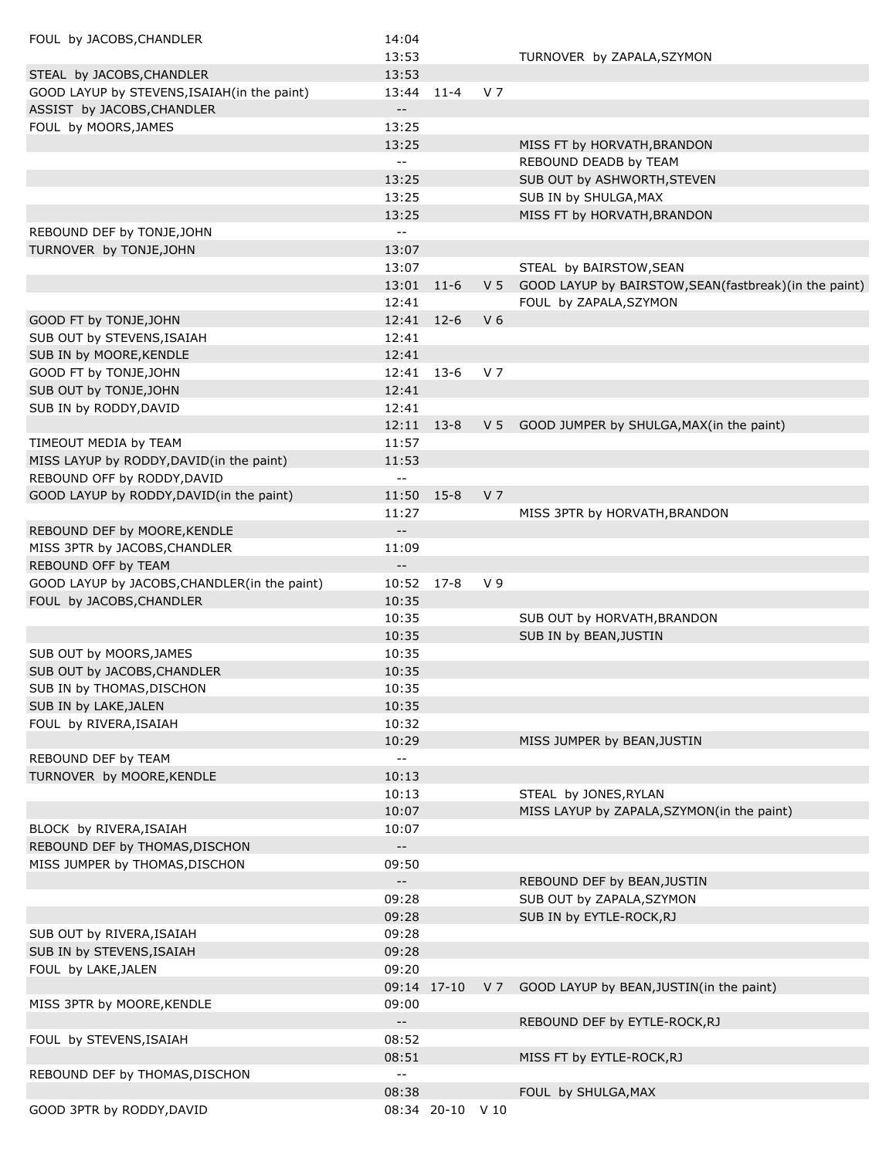| FOUL by JACOBS, CHANDLER                      | 14:04                                         |                  |                |                                                         |
|-----------------------------------------------|-----------------------------------------------|------------------|----------------|---------------------------------------------------------|
|                                               | 13:53                                         |                  |                | TURNOVER by ZAPALA, SZYMON                              |
| STEAL by JACOBS, CHANDLER                     | 13:53                                         |                  |                |                                                         |
| GOOD LAYUP by STEVENS, ISAIAH (in the paint)  | 13:44 11-4                                    |                  | V 7            |                                                         |
| ASSIST by JACOBS, CHANDLER                    | $\overline{\phantom{m}}$ .                    |                  |                |                                                         |
| FOUL by MOORS, JAMES                          | 13:25                                         |                  |                |                                                         |
|                                               | 13:25                                         |                  |                | MISS FT by HORVATH, BRANDON                             |
|                                               | $\overline{\phantom{a}}$                      |                  |                | REBOUND DEADB by TEAM                                   |
|                                               | 13:25                                         |                  |                | SUB OUT by ASHWORTH, STEVEN                             |
|                                               | 13:25                                         |                  |                | SUB IN by SHULGA, MAX                                   |
|                                               | 13:25                                         |                  |                | MISS FT by HORVATH, BRANDON                             |
| REBOUND DEF by TONJE, JOHN                    | $\overline{\phantom{a}}$                      |                  |                |                                                         |
| TURNOVER by TONJE, JOHN                       | 13:07                                         |                  |                |                                                         |
|                                               | 13:07                                         |                  |                | STEAL by BAIRSTOW, SEAN                                 |
|                                               | 13:01                                         | $11-6$           | V <sub>5</sub> | GOOD LAYUP by BAIRSTOW, SEAN (fastbreak) (in the paint) |
|                                               | 12:41                                         |                  |                | FOUL by ZAPALA, SZYMON                                  |
| GOOD FT by TONJE, JOHN                        | 12:41                                         | $12-6$           | V <sub>6</sub> |                                                         |
| SUB OUT by STEVENS, ISAIAH                    | 12:41                                         |                  |                |                                                         |
| SUB IN by MOORE, KENDLE                       | 12:41                                         |                  |                |                                                         |
| GOOD FT by TONJE, JOHN                        | 12:41                                         | $13-6$           | V <sub>7</sub> |                                                         |
| SUB OUT by TONJE, JOHN                        | 12:41                                         |                  |                |                                                         |
| SUB IN by RODDY, DAVID                        | 12:41                                         |                  |                |                                                         |
|                                               | 12:11                                         | $13-8$           | V <sub>5</sub> | GOOD JUMPER by SHULGA, MAX(in the paint)                |
| TIMEOUT MEDIA by TEAM                         | 11:57                                         |                  |                |                                                         |
| MISS LAYUP by RODDY, DAVID(in the paint)      | 11:53                                         |                  |                |                                                         |
| REBOUND OFF by RODDY, DAVID                   | $\overline{\phantom{a}}$ .                    |                  |                |                                                         |
| GOOD LAYUP by RODDY, DAVID(in the paint)      | 11:50                                         | $15 - 8$         | V <sub>7</sub> |                                                         |
|                                               | 11:27                                         |                  |                | MISS 3PTR by HORVATH, BRANDON                           |
| REBOUND DEF by MOORE, KENDLE                  | $\overline{\phantom{a}}$ .                    |                  |                |                                                         |
| MISS 3PTR by JACOBS, CHANDLER                 | 11:09                                         |                  |                |                                                         |
| REBOUND OFF by TEAM                           |                                               |                  |                |                                                         |
| GOOD LAYUP by JACOBS, CHANDLER (in the paint) | 10:52                                         | $17-8$           | V <sub>9</sub> |                                                         |
| FOUL by JACOBS, CHANDLER                      | 10:35                                         |                  |                |                                                         |
|                                               | 10:35                                         |                  |                | SUB OUT by HORVATH, BRANDON                             |
|                                               | 10:35                                         |                  |                | SUB IN by BEAN, JUSTIN                                  |
| SUB OUT by MOORS, JAMES                       | 10:35                                         |                  |                |                                                         |
| SUB OUT by JACOBS, CHANDLER                   | 10:35                                         |                  |                |                                                         |
| SUB IN by THOMAS, DISCHON                     | 10:35                                         |                  |                |                                                         |
| SUB IN by LAKE, JALEN                         | 10:35                                         |                  |                |                                                         |
| FOUL by RIVERA, ISAIAH                        | 10:32                                         |                  |                |                                                         |
|                                               | 10:29                                         |                  |                | MISS JUMPER by BEAN, JUSTIN                             |
| REBOUND DEF by TEAM                           | $\sim$ $\sim$                                 |                  |                |                                                         |
| TURNOVER by MOORE, KENDLE                     | 10:13                                         |                  |                |                                                         |
|                                               | 10:13                                         |                  |                | STEAL by JONES, RYLAN                                   |
|                                               | 10:07                                         |                  |                | MISS LAYUP by ZAPALA, SZYMON(in the paint)              |
| BLOCK by RIVERA, ISAIAH                       | 10:07                                         |                  |                |                                                         |
| REBOUND DEF by THOMAS, DISCHON                | $\overline{\phantom{a}}$ .                    |                  |                |                                                         |
| MISS JUMPER by THOMAS, DISCHON                | 09:50                                         |                  |                |                                                         |
|                                               | $\overline{\phantom{a}}$                      |                  |                | REBOUND DEF by BEAN, JUSTIN                             |
|                                               | 09:28                                         |                  |                | SUB OUT by ZAPALA, SZYMON                               |
|                                               | 09:28                                         |                  |                | SUB IN by EYTLE-ROCK, RJ                                |
| SUB OUT by RIVERA, ISAIAH                     | 09:28                                         |                  |                |                                                         |
| SUB IN by STEVENS, ISAIAH                     | 09:28                                         |                  |                |                                                         |
| FOUL by LAKE, JALEN                           | 09:20                                         |                  |                |                                                         |
|                                               |                                               | 09:14 17-10      | V <sub>7</sub> | GOOD LAYUP by BEAN, JUSTIN(in the paint)                |
| MISS 3PTR by MOORE, KENDLE                    | 09:00                                         |                  |                |                                                         |
|                                               | $\overline{\phantom{a}}$ .                    |                  |                | REBOUND DEF by EYTLE-ROCK, RJ                           |
| FOUL by STEVENS, ISAIAH                       | 08:52                                         |                  |                |                                                         |
|                                               | 08:51                                         |                  |                | MISS FT by EYTLE-ROCK, RJ                               |
| REBOUND DEF by THOMAS, DISCHON                | $\mathord{\hspace{1pt}\text{--}\hspace{1pt}}$ |                  |                |                                                         |
|                                               | 08:38                                         |                  |                | FOUL by SHULGA, MAX                                     |
| GOOD 3PTR by RODDY, DAVID                     |                                               | 08:34 20-10 V 10 |                |                                                         |
|                                               |                                               |                  |                |                                                         |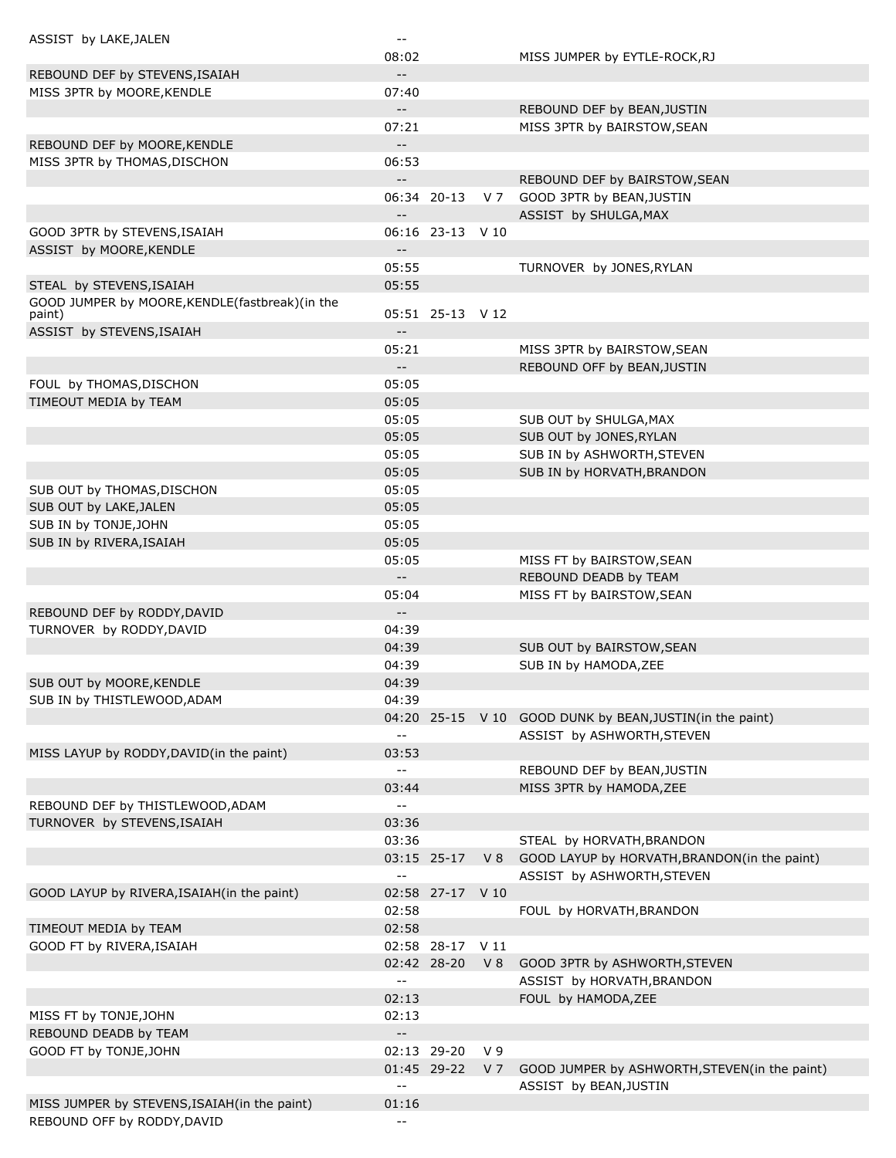| ASSIST by LAKE, JALEN                          | $- -$                      |                  |                |                                                          |
|------------------------------------------------|----------------------------|------------------|----------------|----------------------------------------------------------|
|                                                | 08:02                      |                  |                | MISS JUMPER by EYTLE-ROCK, RJ                            |
| REBOUND DEF by STEVENS, ISAIAH                 | $\overline{\phantom{a}}$   |                  |                |                                                          |
| MISS 3PTR by MOORE, KENDLE                     | 07:40                      |                  |                |                                                          |
|                                                | $\sim$                     |                  |                | REBOUND DEF by BEAN, JUSTIN                              |
|                                                | 07:21                      |                  |                | MISS 3PTR by BAIRSTOW, SEAN                              |
| REBOUND DEF by MOORE, KENDLE                   | $- -$                      |                  |                |                                                          |
| MISS 3PTR by THOMAS, DISCHON                   | 06:53                      |                  |                |                                                          |
|                                                | $- -$                      |                  |                | REBOUND DEF by BAIRSTOW, SEAN                            |
|                                                |                            | 06:34 20-13      | V 7            | GOOD 3PTR by BEAN, JUSTIN                                |
|                                                |                            |                  |                | ASSIST by SHULGA, MAX                                    |
|                                                |                            |                  |                |                                                          |
| GOOD 3PTR by STEVENS, ISAIAH                   |                            | 06:16 23-13 V 10 |                |                                                          |
| ASSIST by MOORE, KENDLE                        | $-$                        |                  |                |                                                          |
|                                                | 05:55                      |                  |                | TURNOVER by JONES, RYLAN                                 |
| STEAL by STEVENS, ISAIAH                       | 05:55                      |                  |                |                                                          |
| GOOD JUMPER by MOORE, KENDLE(fastbreak)(in the |                            | 05:51 25-13 V 12 |                |                                                          |
| paint)                                         | $\overline{\phantom{a}}$   |                  |                |                                                          |
| ASSIST by STEVENS, ISAIAH                      |                            |                  |                |                                                          |
|                                                | 05:21                      |                  |                | MISS 3PTR by BAIRSTOW, SEAN                              |
|                                                | $\overline{\phantom{a}}$   |                  |                | REBOUND OFF by BEAN, JUSTIN                              |
| FOUL by THOMAS, DISCHON                        | 05:05                      |                  |                |                                                          |
| TIMEOUT MEDIA by TEAM                          | 05:05                      |                  |                |                                                          |
|                                                | 05:05                      |                  |                | SUB OUT by SHULGA, MAX                                   |
|                                                | 05:05                      |                  |                | SUB OUT by JONES, RYLAN                                  |
|                                                | 05:05                      |                  |                | SUB IN by ASHWORTH, STEVEN                               |
|                                                | 05:05                      |                  |                | SUB IN by HORVATH, BRANDON                               |
| SUB OUT by THOMAS, DISCHON                     | 05:05                      |                  |                |                                                          |
| SUB OUT by LAKE, JALEN                         | 05:05                      |                  |                |                                                          |
| SUB IN by TONJE, JOHN                          | 05:05                      |                  |                |                                                          |
| SUB IN by RIVERA, ISAIAH                       | 05:05                      |                  |                |                                                          |
|                                                | 05:05                      |                  |                | MISS FT by BAIRSTOW, SEAN                                |
|                                                | $\overline{\phantom{a}}$   |                  |                | REBOUND DEADB by TEAM                                    |
|                                                | 05:04                      |                  |                | MISS FT by BAIRSTOW, SEAN                                |
| REBOUND DEF by RODDY, DAVID                    | $\overline{\phantom{a}}$   |                  |                |                                                          |
| TURNOVER by RODDY, DAVID                       | 04:39                      |                  |                |                                                          |
|                                                | 04:39                      |                  |                | SUB OUT by BAIRSTOW, SEAN                                |
|                                                | 04:39                      |                  |                | SUB IN by HAMODA, ZEE                                    |
| SUB OUT by MOORE, KENDLE                       | 04:39                      |                  |                |                                                          |
|                                                | 04:39                      |                  |                |                                                          |
| SUB IN by THISTLEWOOD, ADAM                    |                            |                  |                |                                                          |
|                                                |                            |                  |                | 04:20 25-15 V 10 GOOD DUNK by BEAN, JUSTIN(in the paint) |
|                                                | $\overline{\phantom{a}}$   |                  |                | ASSIST by ASHWORTH, STEVEN                               |
| MISS LAYUP by RODDY, DAVID(in the paint)       | 03:53                      |                  |                |                                                          |
|                                                | --                         |                  |                | REBOUND DEF by BEAN, JUSTIN                              |
|                                                | 03:44                      |                  |                | MISS 3PTR by HAMODA, ZEE                                 |
| REBOUND DEF by THISTLEWOOD, ADAM               | --                         |                  |                |                                                          |
| TURNOVER by STEVENS, ISAIAH                    | 03:36                      |                  |                |                                                          |
|                                                | 03:36                      |                  |                | STEAL by HORVATH, BRANDON                                |
|                                                |                            | 03:15 25-17      | V8             | GOOD LAYUP by HORVATH, BRANDON(in the paint)             |
|                                                | $\overline{\phantom{a}}$   |                  |                | ASSIST by ASHWORTH, STEVEN                               |
| GOOD LAYUP by RIVERA, ISAIAH (in the paint)    |                            | 02:58 27-17 V 10 |                |                                                          |
|                                                | 02:58                      |                  |                | FOUL by HORVATH, BRANDON                                 |
| TIMEOUT MEDIA by TEAM                          | 02:58                      |                  |                |                                                          |
| GOOD FT by RIVERA, ISAIAH                      |                            | 02:58 28-17 V 11 |                |                                                          |
|                                                |                            | 02:42 28-20      | V8             | GOOD 3PTR by ASHWORTH, STEVEN                            |
|                                                | $\overline{\phantom{a}}$ . |                  |                | ASSIST by HORVATH, BRANDON                               |
|                                                | 02:13                      |                  |                | FOUL by HAMODA, ZEE                                      |
| MISS FT by TONJE, JOHN                         | 02:13                      |                  |                |                                                          |
| REBOUND DEADB by TEAM                          | $\overline{\phantom{a}}$   |                  |                |                                                          |
| GOOD FT by TONJE, JOHN                         |                            | 02:13 29-20      | V <sub>9</sub> |                                                          |
|                                                |                            | 01:45 29-22      | V 7            | GOOD JUMPER by ASHWORTH, STEVEN(in the paint)            |
|                                                | $\overline{\phantom{a}}$   |                  |                |                                                          |
|                                                |                            |                  |                | ASSIST by BEAN, JUSTIN                                   |
| MISS JUMPER by STEVENS, ISAIAH(in the paint)   | 01:16                      |                  |                |                                                          |
| REBOUND OFF by RODDY, DAVID                    | --                         |                  |                |                                                          |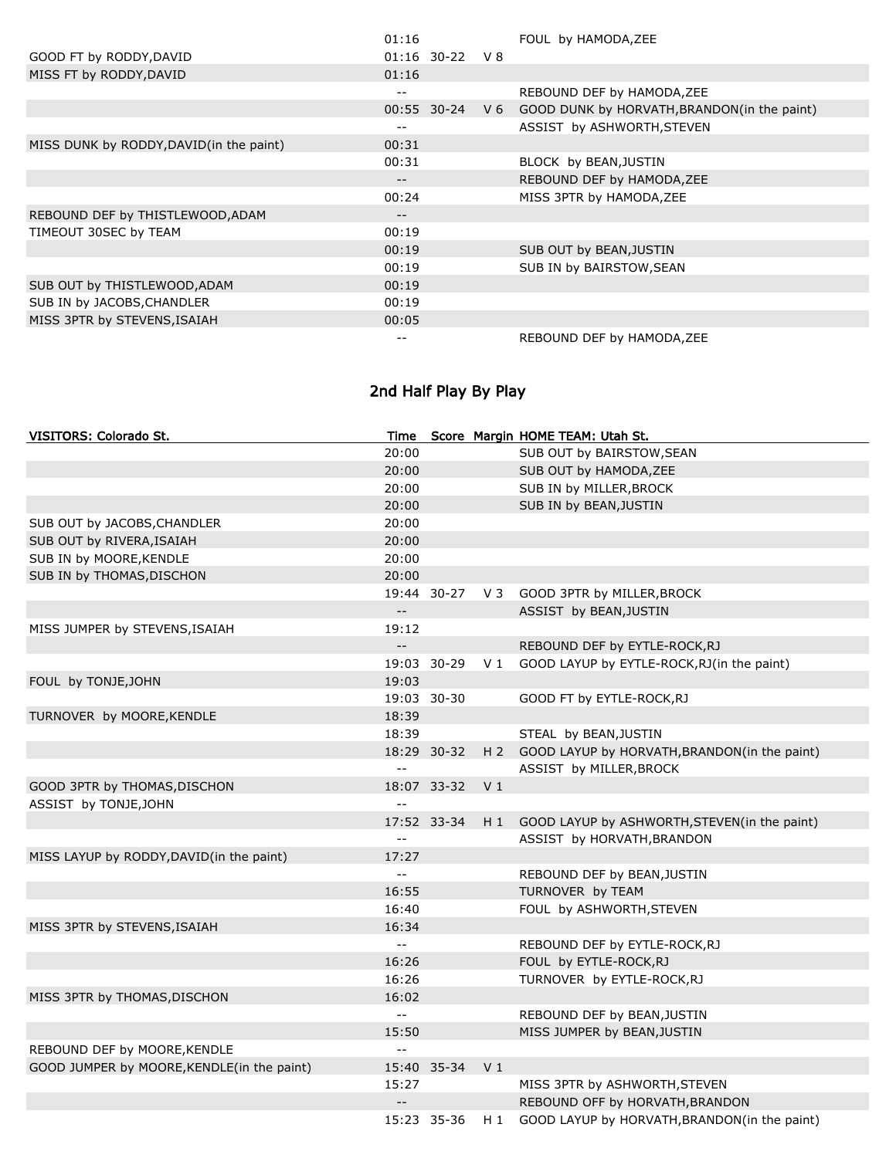|                                         | 01:16 |                  |                | FOUL by HAMODA, ZEE                         |
|-----------------------------------------|-------|------------------|----------------|---------------------------------------------|
| GOOD FT by RODDY, DAVID                 |       | $01:16$ 30-22 V8 |                |                                             |
| MISS FT by RODDY, DAVID                 | 01:16 |                  |                |                                             |
|                                         | --    |                  |                | REBOUND DEF by HAMODA, ZEE                  |
|                                         |       | 00:55 30-24      | V <sub>6</sub> | GOOD DUNK by HORVATH, BRANDON(in the paint) |
|                                         | --    |                  |                | ASSIST by ASHWORTH, STEVEN                  |
| MISS DUNK by RODDY, DAVID(in the paint) | 00:31 |                  |                |                                             |
|                                         | 00:31 |                  |                | BLOCK by BEAN, JUSTIN                       |
|                                         | --    |                  |                | REBOUND DEF by HAMODA, ZEE                  |
|                                         | 00:24 |                  |                | MISS 3PTR by HAMODA, ZEE                    |
| REBOUND DEF by THISTLEWOOD, ADAM        | --    |                  |                |                                             |
| TIMEOUT 30SEC by TEAM                   | 00:19 |                  |                |                                             |
|                                         | 00:19 |                  |                | SUB OUT by BEAN, JUSTIN                     |
|                                         | 00:19 |                  |                | SUB IN by BAIRSTOW, SEAN                    |
| SUB OUT by THISTLEWOOD, ADAM            | 00:19 |                  |                |                                             |
| SUB IN by JACOBS, CHANDLER              | 00:19 |                  |                |                                             |
| MISS 3PTR by STEVENS, ISAIAH            | 00:05 |                  |                |                                             |
|                                         |       |                  |                | REBOUND DEF by HAMODA, ZEE                  |

# 2nd Half Play By Play

| VISITORS: Colorado St.                     | Time                      |             |                | Score Margin HOME TEAM: Utah St.                 |
|--------------------------------------------|---------------------------|-------------|----------------|--------------------------------------------------|
|                                            | 20:00                     |             |                | SUB OUT by BAIRSTOW, SEAN                        |
|                                            | 20:00                     |             |                | SUB OUT by HAMODA, ZEE                           |
|                                            | 20:00                     |             |                | SUB IN by MILLER, BROCK                          |
|                                            | 20:00                     |             |                | SUB IN by BEAN, JUSTIN                           |
| SUB OUT by JACOBS, CHANDLER                | 20:00                     |             |                |                                                  |
| SUB OUT by RIVERA, ISAIAH                  | 20:00                     |             |                |                                                  |
| SUB IN by MOORE, KENDLE                    | 20:00                     |             |                |                                                  |
| SUB IN by THOMAS, DISCHON                  | 20:00                     |             |                |                                                  |
|                                            |                           | 19:44 30-27 | $V_3$          | GOOD 3PTR by MILLER, BROCK                       |
|                                            | $-$                       |             |                | ASSIST by BEAN, JUSTIN                           |
| MISS JUMPER by STEVENS, ISAIAH             | 19:12                     |             |                |                                                  |
|                                            | $\mathbb{H}^{\mathbb{H}}$ |             |                | REBOUND DEF by EYTLE-ROCK, RJ                    |
|                                            |                           | 19:03 30-29 |                | V 1 GOOD LAYUP by EYTLE-ROCK, RJ (in the paint)  |
| FOUL by TONJE, JOHN                        | 19:03                     |             |                |                                                  |
|                                            |                           | 19:03 30-30 |                | GOOD FT by EYTLE-ROCK, RJ                        |
| TURNOVER by MOORE, KENDLE                  | 18:39                     |             |                |                                                  |
|                                            | 18:39                     |             |                | STEAL by BEAN, JUSTIN                            |
|                                            |                           | 18:29 30-32 |                | H 2 GOOD LAYUP by HORVATH, BRANDON(in the paint) |
|                                            | $\sim$ $-$                |             |                | ASSIST by MILLER, BROCK                          |
| GOOD 3PTR by THOMAS, DISCHON               |                           | 18:07 33-32 | V <sub>1</sub> |                                                  |
| ASSIST by TONJE, JOHN                      | $\equiv$                  |             |                |                                                  |
|                                            |                           | 17:52 33-34 | H 1            | GOOD LAYUP by ASHWORTH, STEVEN(in the paint)     |
|                                            | $-$                       |             |                | ASSIST by HORVATH, BRANDON                       |
| MISS LAYUP by RODDY, DAVID(in the paint)   | 17:27                     |             |                |                                                  |
|                                            | $\overline{a}$            |             |                | REBOUND DEF by BEAN, JUSTIN                      |
|                                            | 16:55                     |             |                | TURNOVER by TEAM                                 |
|                                            | 16:40                     |             |                | FOUL by ASHWORTH, STEVEN                         |
| MISS 3PTR by STEVENS, ISAIAH               | 16:34                     |             |                |                                                  |
|                                            | $-$                       |             |                | REBOUND DEF by EYTLE-ROCK, RJ                    |
|                                            | 16:26                     |             |                | FOUL by EYTLE-ROCK, RJ                           |
|                                            | 16:26                     |             |                | TURNOVER by EYTLE-ROCK, RJ                       |
| MISS 3PTR by THOMAS, DISCHON               | 16:02                     |             |                |                                                  |
|                                            | $\sim$ $-$                |             |                | REBOUND DEF by BEAN, JUSTIN                      |
|                                            | 15:50                     |             |                | MISS JUMPER by BEAN, JUSTIN                      |
| REBOUND DEF by MOORE, KENDLE               | $-$                       |             |                |                                                  |
| GOOD JUMPER by MOORE, KENDLE(in the paint) |                           | 15:40 35-34 | V <sub>1</sub> |                                                  |
|                                            | 15:27                     |             |                | MISS 3PTR by ASHWORTH, STEVEN                    |
|                                            | $-$                       |             |                | REBOUND OFF by HORVATH, BRANDON                  |
|                                            |                           | 15:23 35-36 |                | H 1 GOOD LAYUP by HORVATH, BRANDON(in the paint) |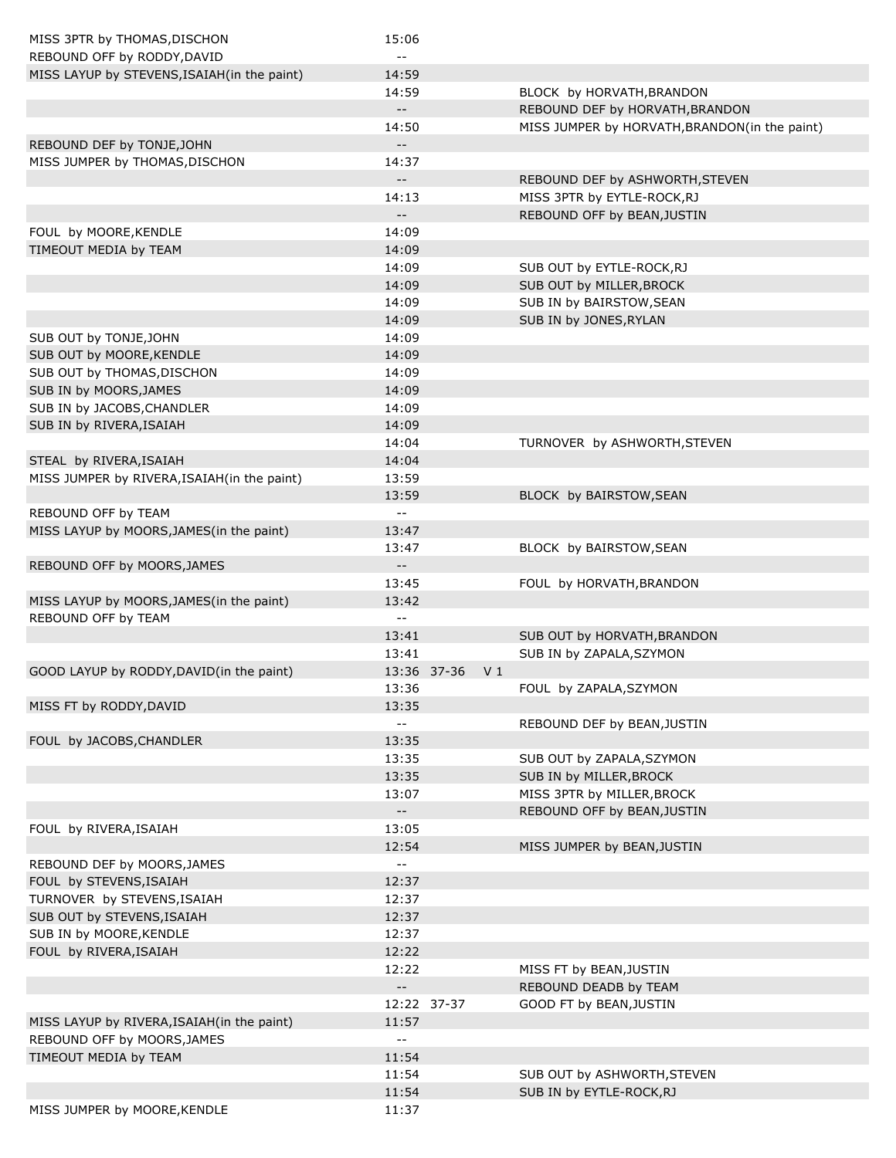| MISS 3PTR by THOMAS, DISCHON                | 15:06                                         |             |                |                                               |
|---------------------------------------------|-----------------------------------------------|-------------|----------------|-----------------------------------------------|
| REBOUND OFF by RODDY, DAVID                 | $- -$                                         |             |                |                                               |
| MISS LAYUP by STEVENS, ISAIAH(in the paint) | 14:59                                         |             |                |                                               |
|                                             | 14:59                                         |             |                | BLOCK by HORVATH, BRANDON                     |
|                                             | $\overline{\phantom{a}}$                      |             |                | REBOUND DEF by HORVATH, BRANDON               |
|                                             | 14:50                                         |             |                | MISS JUMPER by HORVATH, BRANDON(in the paint) |
| REBOUND DEF by TONJE, JOHN                  | $--$                                          |             |                |                                               |
| MISS JUMPER by THOMAS, DISCHON              | 14:37                                         |             |                |                                               |
|                                             | $-$                                           |             |                | REBOUND DEF by ASHWORTH, STEVEN               |
|                                             | 14:13                                         |             |                | MISS 3PTR by EYTLE-ROCK, RJ                   |
|                                             | $--$                                          |             |                | REBOUND OFF by BEAN, JUSTIN                   |
| FOUL by MOORE, KENDLE                       | 14:09                                         |             |                |                                               |
| TIMEOUT MEDIA by TEAM                       | 14:09                                         |             |                |                                               |
|                                             | 14:09                                         |             |                | SUB OUT by EYTLE-ROCK, RJ                     |
|                                             | 14:09                                         |             |                | SUB OUT by MILLER, BROCK                      |
|                                             | 14:09                                         |             |                | SUB IN by BAIRSTOW, SEAN                      |
|                                             | 14:09                                         |             |                | SUB IN by JONES, RYLAN                        |
| SUB OUT by TONJE, JOHN                      | 14:09                                         |             |                |                                               |
| SUB OUT by MOORE, KENDLE                    | 14:09                                         |             |                |                                               |
| SUB OUT by THOMAS, DISCHON                  | 14:09                                         |             |                |                                               |
| SUB IN by MOORS, JAMES                      | 14:09                                         |             |                |                                               |
|                                             | 14:09                                         |             |                |                                               |
| SUB IN by JACOBS, CHANDLER                  |                                               |             |                |                                               |
| SUB IN by RIVERA, ISAIAH                    | 14:09                                         |             |                |                                               |
|                                             | 14:04                                         |             |                | TURNOVER by ASHWORTH, STEVEN                  |
| STEAL by RIVERA, ISAIAH                     | 14:04                                         |             |                |                                               |
| MISS JUMPER by RIVERA, ISAIAH(in the paint) | 13:59                                         |             |                |                                               |
|                                             | 13:59                                         |             |                | BLOCK by BAIRSTOW, SEAN                       |
| REBOUND OFF by TEAM                         | $\mathord{\hspace{1pt}\text{--}\hspace{1pt}}$ |             |                |                                               |
| MISS LAYUP by MOORS, JAMES (in the paint)   | 13:47                                         |             |                |                                               |
|                                             | 13:47                                         |             |                | BLOCK by BAIRSTOW, SEAN                       |
| REBOUND OFF by MOORS, JAMES                 | $- \, -$                                      |             |                |                                               |
|                                             | 13:45                                         |             |                | FOUL by HORVATH, BRANDON                      |
| MISS LAYUP by MOORS, JAMES (in the paint)   | 13:42                                         |             |                |                                               |
| REBOUND OFF by TEAM                         | $\mathord{\hspace{1pt}\text{--}\hspace{1pt}}$ |             |                |                                               |
|                                             | 13:41                                         |             |                | SUB OUT by HORVATH, BRANDON                   |
|                                             | 13:41                                         |             |                | SUB IN by ZAPALA, SZYMON                      |
| GOOD LAYUP by RODDY, DAVID(in the paint)    |                                               | 13:36 37-36 | V <sub>1</sub> |                                               |
|                                             | 13:36                                         |             |                | FOUL by ZAPALA, SZYMON                        |
| MISS FT by RODDY, DAVID                     | 13:35                                         |             |                |                                               |
|                                             | н.                                            |             |                | REBOUND DEF by BEAN, JUSTIN                   |
| FOUL by JACOBS, CHANDLER                    | 13:35                                         |             |                |                                               |
|                                             | 13:35                                         |             |                | SUB OUT by ZAPALA, SZYMON                     |
|                                             | 13:35                                         |             |                | SUB IN by MILLER, BROCK                       |
|                                             | 13:07                                         |             |                | MISS 3PTR by MILLER, BROCK                    |
|                                             | $\sim$                                        |             |                | REBOUND OFF by BEAN, JUSTIN                   |
| FOUL by RIVERA, ISAIAH                      | 13:05                                         |             |                |                                               |
|                                             | 12:54                                         |             |                | MISS JUMPER by BEAN, JUSTIN                   |
| REBOUND DEF by MOORS, JAMES                 | $\sim$ $\sim$                                 |             |                |                                               |
| FOUL by STEVENS, ISAIAH                     | 12:37                                         |             |                |                                               |
| TURNOVER by STEVENS, ISAIAH                 | 12:37                                         |             |                |                                               |
| SUB OUT by STEVENS, ISAIAH                  | 12:37                                         |             |                |                                               |
| SUB IN by MOORE, KENDLE                     | 12:37                                         |             |                |                                               |
| FOUL by RIVERA, ISAIAH                      | 12:22                                         |             |                |                                               |
|                                             | 12:22                                         |             |                | MISS FT by BEAN, JUSTIN                       |
|                                             | $\overline{\phantom{a}}$                      |             |                | REBOUND DEADB by TEAM                         |
|                                             |                                               |             |                |                                               |
|                                             |                                               | 12:22 37-37 |                | GOOD FT by BEAN, JUSTIN                       |
| MISS LAYUP by RIVERA, ISAIAH(in the paint)  | 11:57                                         |             |                |                                               |
| REBOUND OFF by MOORS, JAMES                 | $\mathord{\hspace{1pt}\text{--}\hspace{1pt}}$ |             |                |                                               |
| TIMEOUT MEDIA by TEAM                       | 11:54                                         |             |                |                                               |
|                                             | 11:54                                         |             |                | SUB OUT by ASHWORTH, STEVEN                   |
|                                             | 11:54                                         |             |                | SUB IN by EYTLE-ROCK, RJ                      |
| MISS JUMPER by MOORE, KENDLE                | 11:37                                         |             |                |                                               |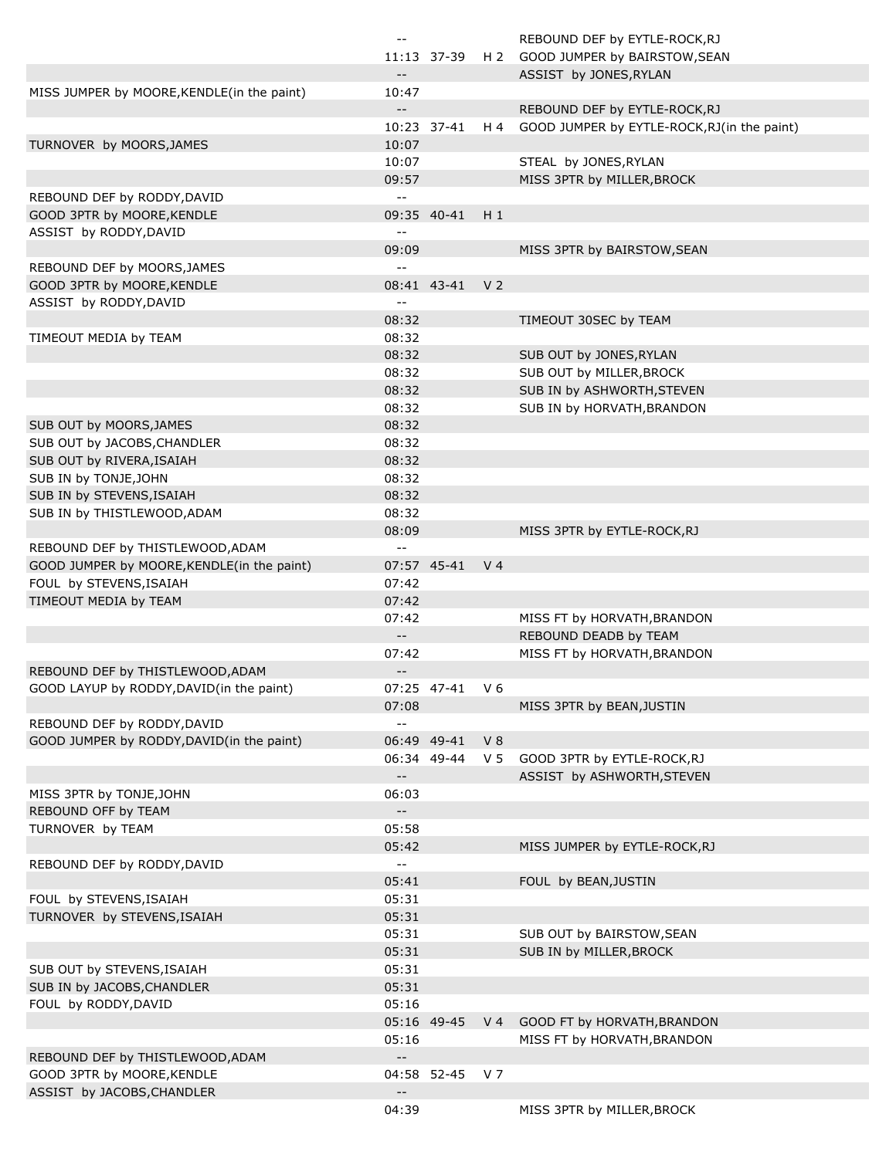|                                            | $\mathbf{m}$               |                |                | REBOUND DEF by EYTLE-ROCK, RJ               |
|--------------------------------------------|----------------------------|----------------|----------------|---------------------------------------------|
|                                            |                            | 11:13 37-39    |                | H 2 GOOD JUMPER by BAIRSTOW, SEAN           |
|                                            | $\overline{\phantom{a}}$   |                |                | ASSIST by JONES, RYLAN                      |
| MISS JUMPER by MOORE, KENDLE(in the paint) | 10:47                      |                |                |                                             |
|                                            | $-$                        |                |                | REBOUND DEF by EYTLE-ROCK, RJ               |
|                                            |                            | 10:23 37-41    | H 4            | GOOD JUMPER by EYTLE-ROCK, RJ(in the paint) |
| TURNOVER by MOORS, JAMES                   | 10:07                      |                |                |                                             |
|                                            |                            |                |                |                                             |
|                                            | 10:07                      |                |                | STEAL by JONES, RYLAN                       |
|                                            | 09:57                      |                |                | MISS 3PTR by MILLER, BROCK                  |
| REBOUND DEF by RODDY, DAVID                | $\overline{a}$             |                |                |                                             |
| GOOD 3PTR by MOORE, KENDLE                 |                            | 09:35 40-41    | $H_1$          |                                             |
| ASSIST by RODDY, DAVID                     | $-$                        |                |                |                                             |
|                                            | 09:09                      |                |                | MISS 3PTR by BAIRSTOW, SEAN                 |
| REBOUND DEF by MOORS, JAMES                | $-1$                       |                |                |                                             |
| GOOD 3PTR by MOORE, KENDLE                 |                            | 08:41 43-41    | V <sub>2</sub> |                                             |
| ASSIST by RODDY, DAVID                     | $-$                        |                |                |                                             |
|                                            | 08:32                      |                |                | TIMEOUT 30SEC by TEAM                       |
| TIMEOUT MEDIA by TEAM                      | 08:32                      |                |                |                                             |
|                                            | 08:32                      |                |                | SUB OUT by JONES, RYLAN                     |
|                                            | 08:32                      |                |                |                                             |
|                                            |                            |                |                | SUB OUT by MILLER, BROCK                    |
|                                            | 08:32                      |                |                | SUB IN by ASHWORTH, STEVEN                  |
|                                            | 08:32                      |                |                | SUB IN by HORVATH, BRANDON                  |
| SUB OUT by MOORS, JAMES                    | 08:32                      |                |                |                                             |
| SUB OUT by JACOBS, CHANDLER                | 08:32                      |                |                |                                             |
| SUB OUT by RIVERA, ISAIAH                  | 08:32                      |                |                |                                             |
| SUB IN by TONJE, JOHN                      | 08:32                      |                |                |                                             |
| SUB IN by STEVENS, ISAIAH                  | 08:32                      |                |                |                                             |
| SUB IN by THISTLEWOOD, ADAM                | 08:32                      |                |                |                                             |
|                                            | 08:09                      |                |                | MISS 3PTR by EYTLE-ROCK, RJ                 |
| REBOUND DEF by THISTLEWOOD, ADAM           | $-$                        |                |                |                                             |
| GOOD JUMPER by MOORE, KENDLE(in the paint) |                            | 07:57 45-41    | V <sub>4</sub> |                                             |
|                                            |                            |                |                |                                             |
| FOUL by STEVENS, ISAIAH                    | 07:42                      |                |                |                                             |
| TIMEOUT MEDIA by TEAM                      | 07:42                      |                |                |                                             |
|                                            | 07:42                      |                |                | MISS FT by HORVATH, BRANDON                 |
|                                            | $\overline{\phantom{a}}$   |                |                | REBOUND DEADB by TEAM                       |
|                                            | 07:42                      |                |                | MISS FT by HORVATH, BRANDON                 |
| REBOUND DEF by THISTLEWOOD, ADAM           | $\overline{\phantom{a}}$   |                |                |                                             |
| GOOD LAYUP by RODDY, DAVID(in the paint)   |                            | 07:25 47-41 V6 |                |                                             |
|                                            | 07:08                      |                |                | MISS 3PTR by BEAN, JUSTIN                   |
| REBOUND DEF by RODDY, DAVID                | $\sim$ $\sim$              |                |                |                                             |
| GOOD JUMPER by RODDY, DAVID(in the paint)  |                            | 06:49 49-41    | V8             |                                             |
|                                            |                            | 06:34 49-44    | V <sub>5</sub> | GOOD 3PTR by EYTLE-ROCK, RJ                 |
|                                            | $\overline{\phantom{a}}$ . |                |                | ASSIST by ASHWORTH, STEVEN                  |
| MISS 3PTR by TONJE, JOHN                   | 06:03                      |                |                |                                             |
|                                            |                            |                |                |                                             |
| REBOUND OFF by TEAM                        | $\sim$                     |                |                |                                             |
| TURNOVER by TEAM                           | 05:58                      |                |                |                                             |
|                                            | 05:42                      |                |                | MISS JUMPER by EYTLE-ROCK, RJ               |
| REBOUND DEF by RODDY, DAVID                | $\mathbb{L}^{\perp}$       |                |                |                                             |
|                                            | 05:41                      |                |                | FOUL by BEAN, JUSTIN                        |
| FOUL by STEVENS, ISAIAH                    | 05:31                      |                |                |                                             |
| TURNOVER by STEVENS, ISAIAH                | 05:31                      |                |                |                                             |
|                                            | 05:31                      |                |                | SUB OUT by BAIRSTOW, SEAN                   |
|                                            | 05:31                      |                |                | SUB IN by MILLER, BROCK                     |
| SUB OUT by STEVENS, ISAIAH                 | 05:31                      |                |                |                                             |
| SUB IN by JACOBS, CHANDLER                 | 05:31                      |                |                |                                             |
|                                            | 05:16                      |                |                |                                             |
| FOUL by RODDY, DAVID                       |                            |                |                |                                             |
|                                            |                            | 05:16 49-45    | V <sub>4</sub> | GOOD FT by HORVATH, BRANDON                 |
|                                            | 05:16                      |                |                | MISS FT by HORVATH, BRANDON                 |
| REBOUND DEF by THISTLEWOOD, ADAM           | $\overline{\phantom{a}}$ . |                |                |                                             |
| GOOD 3PTR by MOORE, KENDLE                 |                            | 04:58 52-45    | V 7            |                                             |
| ASSIST by JACOBS, CHANDLER                 | $\overline{\phantom{a}}$   |                |                |                                             |
|                                            | 04:39                      |                |                | MISS 3PTR by MILLER, BROCK                  |